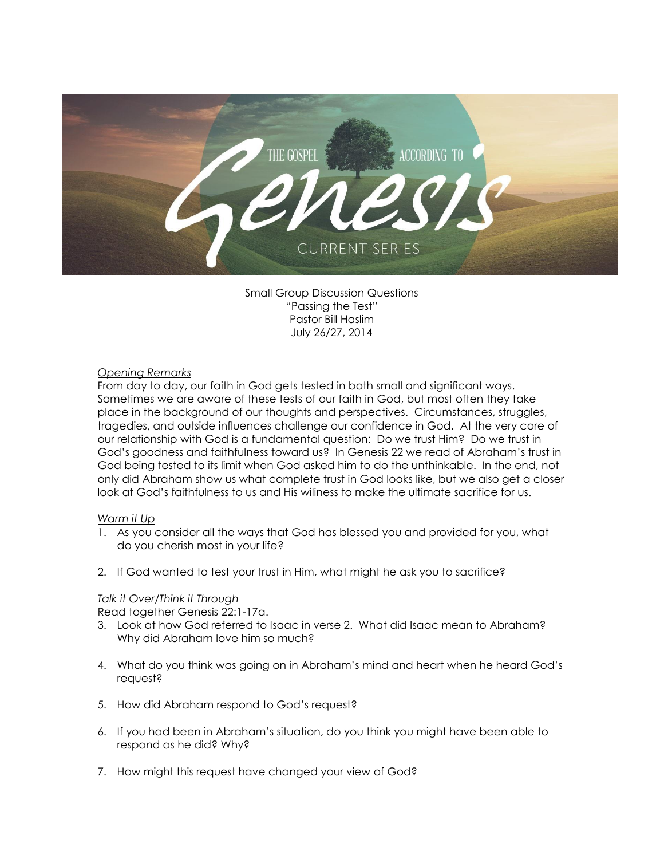

Small Group Discussion Questions "Passing the Test" Pastor Bill Haslim July 26/27, 2014

## *Opening Remarks*

From day to day, our faith in God gets tested in both small and significant ways. Sometimes we are aware of these tests of our faith in God, but most often they take place in the background of our thoughts and perspectives. Circumstances, struggles, tragedies, and outside influences challenge our confidence in God. At the very core of our relationship with God is a fundamental question: Do we trust Him? Do we trust in God's goodness and faithfulness toward us? In Genesis 22 we read of Abraham's trust in God being tested to its limit when God asked him to do the unthinkable. In the end, not only did Abraham show us what complete trust in God looks like, but we also get a closer look at God's faithfulness to us and His wiliness to make the ultimate sacrifice for us.

# *Warm it Up*

- 1. As you consider all the ways that God has blessed you and provided for you, what do you cherish most in your life?
- 2. If God wanted to test your trust in Him, what might he ask you to sacrifice?

# *Talk it Over/Think it Through*

Read together Genesis 22:1-17a.

- 3. Look at how God referred to Isaac in verse 2. What did Isaac mean to Abraham? Why did Abraham love him so much?
- 4. What do you think was going on in Abraham's mind and heart when he heard God's request?
- 5. How did Abraham respond to God's request?
- 6. If you had been in Abraham's situation, do you think you might have been able to respond as he did? Why?
- 7. How might this request have changed your view of God?